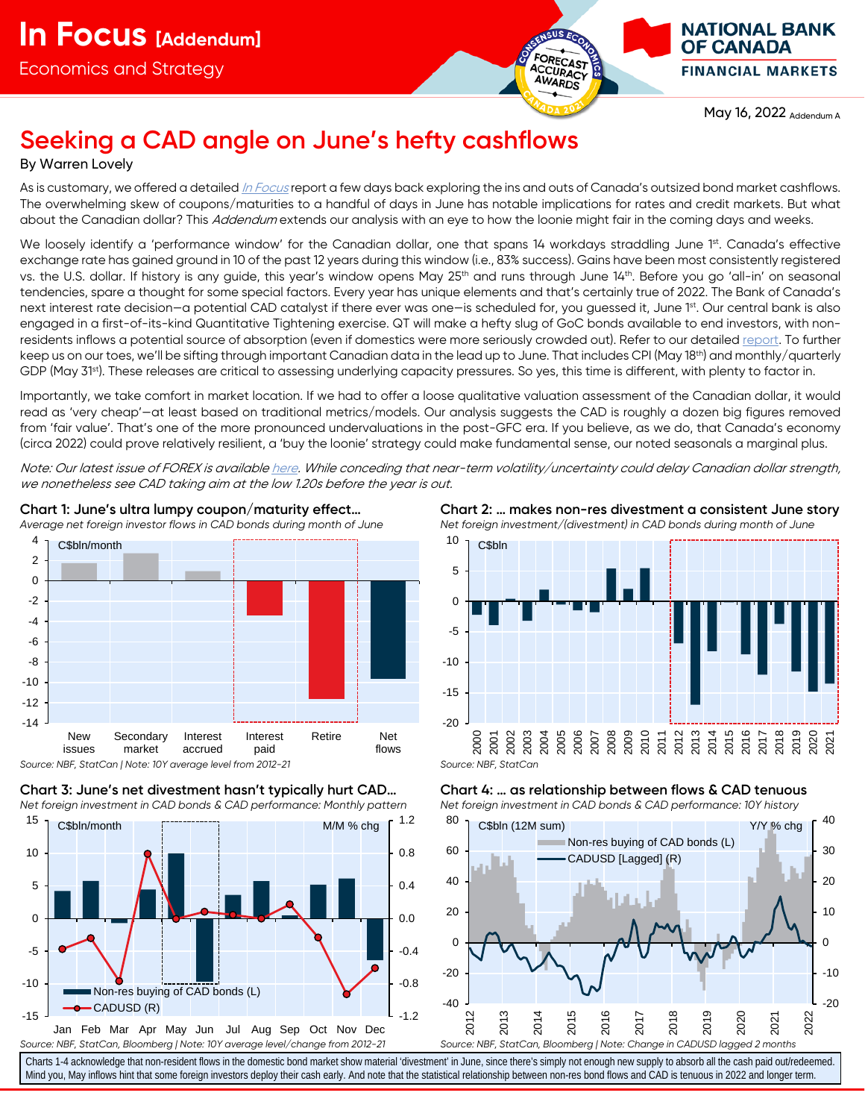

**OF CANADA FINANCIAL MARKETS** 

May 16, 2022 Addendum A

# **Seeking a CAD angle on June's hefty cashflows**

# By Warren Lovely

As is customary, we offered a detailed <u>[In Focus](https://www.nbc.ca/content/dam/bnc/en/rates-and-analysis/economic-analysis/market_view_220506.pdf)</u> report a few days back exploring the ins and outs of Canada's outsized bond market cashflows. The overwhelming skew of coupons/maturities to a handful of days in June has notable implications for rates and credit markets. But what about the Canadian dollar? This Addendum extends our analysis with an eye to how the loonie might fair in the coming days and weeks.

We loosely identify a 'performance window' for the Canadian dollar, one that spans 14 workdays straddling June 1st. Canada's effective exchange rate has gained ground in 10 of the past 12 years during this window (i.e., 83% success). Gains have been most consistently registered vs. the U.S. dollar. If history is any guide, this year's window opens May 25<sup>th</sup> and runs through June 14<sup>th</sup>. Before you go 'all-in' on seasonal tendencies, spare a thought for some special factors. Every year has unique elements and that's certainly true of 2022. The Bank of Canada's next interest rate decision—a potential CAD catalyst if there ever was one—is scheduled for, you guessed it, June 1<sup>st</sup>. Our central bank is also engaged in a first-of-its-kind Quantitative Tightening exercise. QT will make a hefty slug of GoC bonds available to end investors, with nonresidents inflows a potential source of absorption (even if domestics were more seriously crowded out). Refer to our detailed [report.](https://www.nbc.ca/content/dam/bnc/en/rates-and-analysis/economic-analysis/market_view_220317.pdf) To further keep us on our toes, we'll be sifting through important Canadian data in the lead up to June. That includes CPI (May 18th) and monthly/quarterly GDP (May 31<sup>st</sup>). These releases are critical to assessing underlying capacity pressures. So yes, this time is different, with plenty to factor in.

Importantly, we take comfort in market location. If we had to offer a loose qualitative valuation assessment of the Canadian dollar, it would read as 'very cheap'—at least based on traditional metrics/models. Our analysis suggests the CAD is roughly a dozen big figures removed from 'fair value'. That's one of the more pronounced undervaluations in the post-GFC era. If you believe, as we do, that Canada's economy (circa 2022) could prove relatively resilient, a 'buy the loonie' strategy could make fundamental sense, our noted seasonals a marginal plus.

Note: Our latest issue of FOREX is availabl[e here.](https://www.nbc.ca/content/dam/bnc/en/rates-and-analysis/economic-analysis/forex.pdf) While conceding that near-term volatility/uncertainty could delay Canadian dollar strength, we nonetheless see CAD taking aim at the low 1.20s before the year is out.







**Chart 2: … makes non-res divestment a consistent June story** *Net foreign investment/(divestment) in CAD bonds during month of June*







Charts 1-4 acknowledge that non-resident flows in the domestic bond market show material 'divestment' in June, since there's simply not enough new supply to absorb all the cash paid out/redeemed. Mind you, May inflows hint that some foreign investors deploy their cash early. And note that the statistical relationship between non-res bond flows and CAD is tenuous in 2022 and longer term.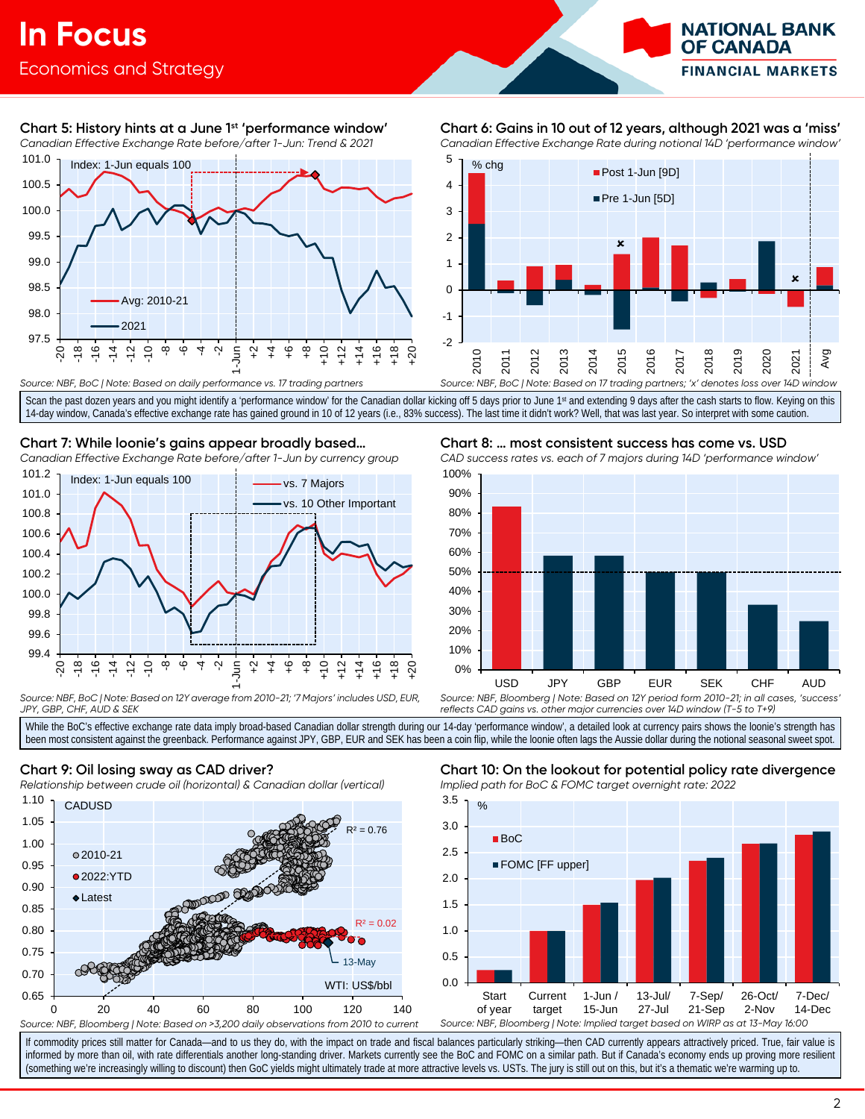

# **Chart 5: History hints at a June 1st 'performance window'**

*Canadian Effective Exchange Rate before/after 1-Jun: Trend & 2021*



# **Chart 6: Gains in 10 out of 12 years, although 2021 was a 'miss'**

*Canadian Effective Exchange Rate during notional 14D 'performance window'*



*Source: NBF, BoC | Note: Based on daily performance vs. 17 trading partners*

Scan the past dozen years and you might identify a 'performance window' for the Canadian dollar kicking off 5 days prior to June 1st and extending 9 days after the cash starts to flow. Keying on this 14-day window, Canada's effective exchange rate has gained ground in 10 of 12 years (i.e., 83% success). The last time it didn't work? Well, that was last year. So interpret with some caution.

# **Chart 7: While loonie's gains appear broadly based…**

*Canadian Effective Exchange Rate before/after 1-Jun by currency group* 101.2



*Source: NBF, BoC | Note: Based on 12Y average from 2010-21; '7 Majors' includes USD, EUR, JPY, GBP, CHF, AUD & SEK*

# **Chart 8: … most consistent success has come vs. USD**

*CAD success rates vs. each of 7 majors during 14D 'performance window'*



*reflects CAD gains vs. other major currencies over 14D window (T-5 to T+9)*

While the BoC's effective exchange rate data imply broad-based Canadian dollar strength during our 14-day 'performance window', a detailed look at currency pairs shows the loonie's strength has been most consistent against the greenback. Performance against JPY, GBP, EUR and SEK has been a coin flip, while the loonie often lags the Aussie dollar during the notional seasonal sweet spot.

# **Chart 9: Oil losing sway as CAD driver?**

*Relationship between crude oil (horizontal) & Canadian dollar (vertical)*



## **Chart 10: On the lookout for potential policy rate divergence** *Implied path for BoC & FOMC target overnight rate: 2022*



If commodity prices still matter for Canada—and to us they do, with the impact on trade and fiscal balances particularly striking—then CAD currently appears attractively priced. True, fair value is informed by more than oil, with rate differentials another long-standing driver. Markets currently see the BoC and FOMC on a similar path. But if Canada's economy ends up proving more resilient (something we're increasingly willing to discount) then GoC yields might ultimately trade at more attractive levels vs. USTs. The jury is still out on this, but it's a thematic we're warming up to.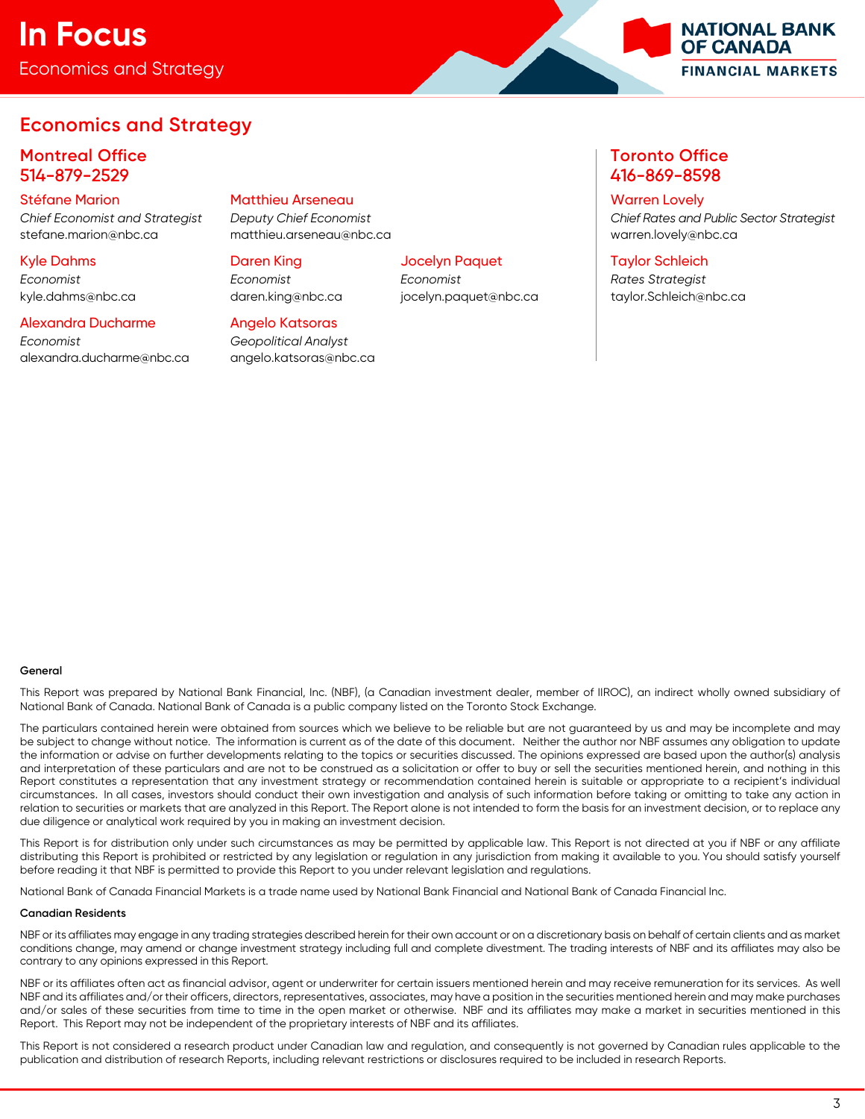# Economics and Strategy **In Focus**



# **Economics and Strategy**

# **Montreal Office Toronto Office** 514-879-2529 416-869-8598

stefane.marion@nbc.ca matthieu.arseneau@nbc.ca warren.lovely@nbc.ca

# *Economist Economist Economist Rates Strategist*

## Alexandra Ducharme Angelo Katsoras

*Economist Geopolitical Analyst* [alexandra.ducharme@nbc.ca](mailto:alexandra.ducharme@nbc.ca) [angelo.katsoras@nbc.ca](mailto:angelo.katsoras@nbc.ca)

# Stéfane Marion Matthieu Arseneau Warren Lovely

# Kyle Dahms Daren King Jocelyn Paquet Taylor Schleich

*Chief Economist and Strategist Deputy Chief Economist Chief Rates and Public Sector Strategist*

kyle.dahms@nbc.ca daren.king@nbc.ca jocelyn.paquet@nbc.ca taylor.Schleich@nbc.ca

## **General**

This Report was prepared by National Bank Financial, Inc. (NBF), (a Canadian investment dealer, member of IIROC), an indirect wholly owned subsidiary of National Bank of Canada. National Bank of Canada is a public company listed on the Toronto Stock Exchange.

The particulars contained herein were obtained from sources which we believe to be reliable but are not guaranteed by us and may be incomplete and may be subject to change without notice. The information is current as of the date of this document. Neither the author nor NBF assumes any obligation to update the information or advise on further developments relating to the topics or securities discussed. The opinions expressed are based upon the author(s) analysis and interpretation of these particulars and are not to be construed as a solicitation or offer to buy or sell the securities mentioned herein, and nothing in this Report constitutes a representation that any investment strategy or recommendation contained herein is suitable or appropriate to a recipient's individual circumstances. In all cases, investors should conduct their own investigation and analysis of such information before taking or omitting to take any action in relation to securities or markets that are analyzed in this Report. The Report alone is not intended to form the basis for an investment decision, or to replace any due diligence or analytical work required by you in making an investment decision.

This Report is for distribution only under such circumstances as may be permitted by applicable law. This Report is not directed at you if NBF or any affiliate distributing this Report is prohibited or restricted by any legislation or regulation in any jurisdiction from making it available to you. You should satisfy yourself before reading it that NBF is permitted to provide this Report to you under relevant legislation and regulations.

National Bank of Canada Financial Markets is a trade name used by National Bank Financial and National Bank of Canada Financial Inc.

### **Canadian Residents**

NBF or its affiliates may engage in any trading strategies described herein for their own account or on a discretionary basis on behalf of certain clients and as market conditions change, may amend or change investment strategy including full and complete divestment. The trading interests of NBF and its affiliates may also be contrary to any opinions expressed in this Report.

NBF or its affiliates often act as financial advisor, agent or underwriter for certain issuers mentioned herein and may receive remuneration for its services. As well NBF and its affiliates and/or their officers, directors, representatives, associates, may have a position in the securities mentioned herein and may make purchases and/or sales of these securities from time to time in the open market or otherwise. NBF and its affiliates may make a market in securities mentioned in this Report. This Report may not be independent of the proprietary interests of NBF and its affiliates.

This Report is not considered a research product under Canadian law and regulation, and consequently is not governed by Canadian rules applicable to the publication and distribution of research Reports, including relevant restrictions or disclosures required to be included in research Reports.